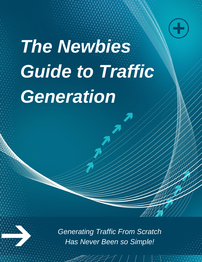

# *The Newbies Guide to Traffic Generation*

*Generating Traffic From Scratch Has Never Been so Simple!*

 $\mathcal{T}$  /  $\mathcal{T}$  /  $\mathcal{T}$  ,  $\mathcal{T}$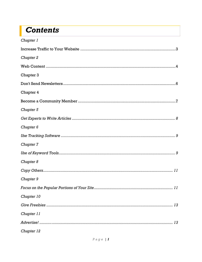### **Contents**

| Chapter 1            |
|----------------------|
|                      |
| Chapter 2            |
|                      |
| Chapter 3            |
|                      |
| Chapter 4            |
|                      |
| Chapter 5            |
|                      |
| Chapter <sub>6</sub> |
|                      |
| Chapter 7            |
|                      |
| Chapter 8            |
|                      |
| Chapter 9            |
|                      |
| Chapter 10           |
|                      |
| Chapter 11           |
|                      |
| Chapter 12           |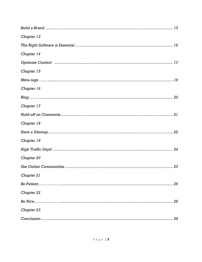| Chapter 13 |
|------------|
|            |
| Chapter 14 |
|            |
| Chapter 15 |
|            |
| Chapter 16 |
|            |
| Chapter 17 |
|            |
| Chapter 18 |
|            |
| Chapter 19 |
|            |
| Chapter 20 |
|            |
| Chapter 21 |
| 26         |
| Chapter 22 |
| 28         |
| Chapter 23 |
|            |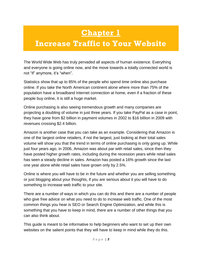### **Chapter 1**

### <span id="page-3-1"></span><span id="page-3-0"></span>**Increase Traffic to Your Website**

The World Wide Web has truly pervaded all aspects of human existence. Everything and everyone is going online now, and the move towards a totally connected world is not "if" anymore, it's "when".

Statistics show that up to 85% of the people who spend time online also purchase online. If you take the North American continent alone where more than 75% of the population have a broadband Internet connection at home, even if a fraction of these people buy online, it is still a huge market.

Online purchasing is also seeing tremendous growth and many companies are projecting a doubling of volume in just three years. If you take PayPal as a case in point, they have gone from \$2 billion in payment volumes in 2002 to \$16 billion in 2009 with revenues crossing \$2.4 billion.

Amazon is another case that you can take as an example. Considering that Amazon is one of the largest online retailers, if not the largest, just looking at their total sales volume will show you that the trend in terms of online purchasing is only going up. While just four years ago, in 2006, Amazon was about par with retail sales, since then they have posted higher growth rates, including during the recession years while retail sales has seen a steady decline in sales. Amazon has posted a 16% growth since the last one year alone while retail sales have grown only by 2.5%.

Online is where you will have to be in the future and whether you are selling something or just blogging about your thoughts, if you are serious about it you will have to do something to increase web traffic to your site.

There are a number of ways in which you can do this and there are a number of people who give free advice on what you need to do to increase web traffic. One of the most common things you hear is SEO or Search Engine Optimization, and while this is something that you have to keep in mind, there are a number of other things that you can also think about.

This guide is meant to be informative to help beginners who want to set up their own websites on the salient points that they will have to keep in mind while they do this.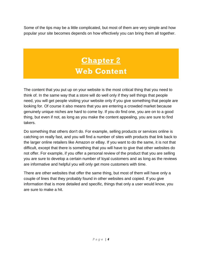<span id="page-4-0"></span>Some of the tips may be a little complicated, but most of them are very simple and how popular your site becomes depends on how effectively you can bring them all together.

### **Chapter 2 Web Content**

<span id="page-4-1"></span>The content that you put up on your website is the most critical thing that you need to think of. In the same way that a store will do well only if they sell things that people need, you will get people visiting your website only if you give something that people are looking for. Of course it also means that you are entering a crowded market because genuinely unique niches are hard to come by. If you do find one, you are on to a good thing, but even if not, as long as you make the content appealing, you are sure to find takers.

Do something that others don't do. For example, selling products or services online is catching on really fast, and you will find a number of sites with products that link back to the larger online retailers like Amazon or eBay. If you want to do the same, it is not that difficult, except that there is something that you will have to give that other websites do not offer. For example, if you offer a personal review of the product that you are selling you are sure to develop a certain number of loyal customers and as long as the reviews are informative and helpful you will only get more customers with time.

There are other websites that offer the same thing, but most of them will have only a couple of lines that they probably found in other websites and copied. If you give information that is more detailed and specific, things that only a user would know, you are sure to make a hit.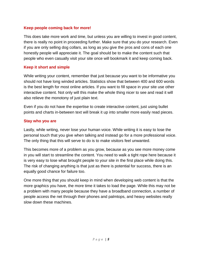### **Keep people coming back for more!**

This does take more work and time, but unless you are willing to invest in good content, there is really no point in proceeding further. Make sure that you do your research. Even if you are only selling dog collars, as long as you give the pros and cons of each one honestly people will appreciate it. The goal should be to make the content such that people who even casually visit your site once will bookmark it and keep coming back.

### **Keep it short and simple**

While writing your content, remember that just because you want to be informative you should not have long winded articles. Statistics show that between 400 and 600 words is the best length for most online articles. If you want to fill space in your site use other interactive content. Not only will this make the whole thing nicer to see and read it will also relieve the monotony of just plain text.

Even if you do not have the expertise to create interactive content, just using bullet points and charts in-between text will break it up into smaller more easily read pieces.

#### **Stay who you are**

Lastly, while writing, never lose your human voice. While writing it is easy to lose the personal touch that you give when talking and instead go for a more professional voice. The only thing that this will serve to do is to make visitors feel unwanted.

This becomes more of a problem as you grow, because as you see more money come in you will start to streamline the content. You need to walk a tight rope here because it is very easy to lose what brought people to your site in the first place while doing this. The risk of changing anything is that just as there is potential for success, there is an equally good chance for failure too.

One more thing that you should keep in mind when developing web content is that the more graphics you have, the more time it takes to load the page. While this may not be a problem with many people because they have a broadband connection, a number of people access the net through their phones and palmtops, and heavy websites really slow down these machines.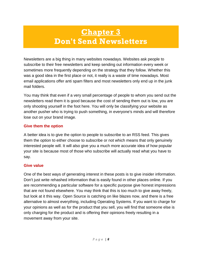### <span id="page-6-0"></span>**Chapter 3 Don't Send Newsletters**

<span id="page-6-1"></span>Newsletters are a big thing in many websites nowadays. Websites ask people to subscribe to their free newsletters and keep sending out information every week or sometimes more frequently depending on the strategy that they follow. Whether this was a good idea in the first place or not, it really is a waste of time nowadays. Most email applications offer anti spam filters and most newsletters only end up in the junk mail folders.

You may think that even if a very small percentage of people to whom you send out the newsletters read them it is good because the cost of sending them out is low, you are only shooting yourself in the foot here. You will only be classifying your website as another pusher who is trying to push something, in everyone's minds and will therefore lose out on your brand image.

#### **Give them the option**

A better idea is to give the option to people to subscribe to an RSS feed. This gives them the option to either choose to subscribe or not which means that only genuinely interested people will. It will also give you a much more accurate idea of how popular your site is because most of those who subscribe will actually read what you have to say.

### **Give value**

One of the best ways of generating interest in these posts is to give insider information. Don't just write rehashed information that is easily found in other places online. If you are recommending a particular software for a specific purpose give honest impressions that are not found elsewhere. You may think that this is too much to give away freely, but look at it this way. Open Source is catching on like blazes now, and there is a free alternative to almost everything, including Operating Systems. If you want to charge for your opinions as well as for the product that you sell, you will find that someone else is only charging for the product and is offering their opinions freely resulting in a movement away from your site.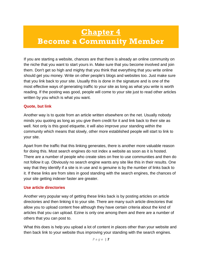### <span id="page-7-1"></span><span id="page-7-0"></span>**Chapter 4 Become a Community Member**

If you are starting a website, chances are that there is already an online community on the niche that you want to start yours in. Make sure that you become involved and join them. Don't get so high and mighty that you think that everything that you write online should get you money. Write on other people's blogs and websites too. Just make sure that you link back to your site. Usually this is done in the signature and is one of the most effective ways of generating traffic to your site as long as what you write is worth reading. If the posting was good, people will come to your site just to read other articles written by you which is what you want.

#### **Quote, but link**

Another way is to quote from an article written elsewhere on the net. Usually nobody minds you quoting as long as you give them credit for it and link back to their site as well. Not only is this good etiquette, it will also improve your standing within the community which means that slowly, other more established people will start to link to your site.

Apart from the traffic that this linking generates, there is another more valuable reason for doing this. Most search engines do not index a website as soon as it is hosted. There are a number of people who create sites on free to use communities and then do not follow it up. Obviously no search engine wants any site like this in their results. One way that they identify if a site is in use and is genuine is by the number of links back to it. If these links are from sites in good standing with the search engines, the chances of your site getting indexer faster are greater.

#### **Use article directories**

Another very popular way of getting these links back is by posting articles on article directories and then linking it to your site. There are many such article directories that allow you to upload content free although they have certain criteria about the kind of articles that you can upload. Ezine is only one among them and there are a number of others that you can post to.

What this does is help you upload a lot of content in places other than your website and then back link to your website thus improving your standing with the search engines.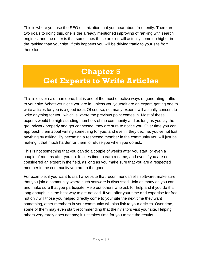This is where you use the SEO optimization that you hear about frequently. There are two goals to doing this, one is the already mentioned improving of ranking with search engines, and the other is that sometimes these articles will actually come up higher in the ranking than your site. If this happens you will be driving traffic to your site from there too.

### <span id="page-8-0"></span>**Chapter 5 Get Experts to Write Articles**

<span id="page-8-1"></span>This is easier said than done, but is one of the most effective ways of generating traffic to your site. Whatever niche you are in, unless you yourself are an expert, getting one to write articles for you is a good idea. Of course, not many experts will actually consent to write anything for you, which is where the previous point comes in. Most of these experts would be high standing members of the community and as long as you lay the groundwork properly and get connected, they are sure to notice you. Over time you can approach them about writing something for you, and even if they decline, you've not lost anything by asking. By becoming a respected member in the community you will just be making it that much harder for them to refuse you when you do ask.

This is not something that you can do a couple of weeks after you start, or even a couple of months after you do. It takes time to earn a name, and even if you are not considered an expert in the field, as long as you make sure that you are a respected member in the community you are to the good.

For example, if you want to start a website that recommends/sells software, make sure that you join a community where such software is discussed. Join as many as you can, and make sure that you participate. Help out others who ask for help and if you do this long enough it is the best way to get noticed. If you offer your time and expertise for free not only will those you helped directly come to your site the next time they want something, other members in your community will also link to your articles. Over time, some of them may even start recommending that their visitors visit your site. Helping others very rarely does not pay; it just takes time for you to see the results.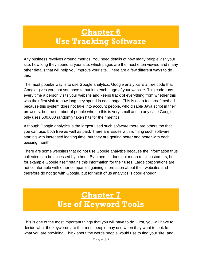### **Chapter 6 Use Tracking Software**

<span id="page-9-1"></span><span id="page-9-0"></span>Any business revolves around metrics. You need details of how many people visit your site, how long they spend at your site, which pages are the most often viewed and many other details that will help you improve your site. There are a few different ways to do this.

The most popular way is to use Google analytics. Google analytics is a free code that Google gives you that you have to put into each page of your website. This code runs every time a person visits your website and keeps track of everything from whether this was their first visit to how long they spend in each page. This is not a foolproof method because this system does not take into account people, who disable Java script in their browsers, but the number of people who do this is very small and in any case Google only uses 500,000 randomly taken hits for their metrics.

Although Google analytics is the largest used such software there are others too that you can use, both free as well as paid. There are issues with running such software starting with increased loading time, but they are getting better and better with each passing month.

There are some websites that do not use Google analytics because the information thus collected can be accessed by others. By others, it does not mean retail customers, but for example Google itself retains this information for their uses. Large corporations are not comfortable with other companies gaining information about their websites and therefore do not go with Google, but for most of us analytics is good enough.

### **Chapter 7 Use of Keyword Tools**

<span id="page-9-3"></span><span id="page-9-2"></span>This is one of the most important things that you will have to do. First, you will have to decide what the keywords are that most people may use when they want to look for what you are providing. Think about the words people would use to find your site, and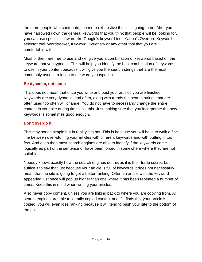the more people who contribute, the more exhaustive the list is going to be. After you have narrowed down the general keywords that you think that people will be looking for, you can use specific software like Google's keyword tool, Yahoo's Overture Keyword selector tool, Wordtracker, Keyword Dictionary or any other tool that you are comfortable with.

Most of them are free to use and will give you a combination of keywords based on the keyword that you typed in. This will help you identify the best combination of keywords to use in your content because it will give you the search strings that are the most commonly used in relation to the word you typed in.

#### **Be dynamic, not static**

This does not mean that once you write and post your articles you are finished. Keywords are very dynamic, and often, along with trends the search strings that are often used too often will change. You do not have to necessarily change the entire content in your site during times like this. Just making sure that you incorporate the new keywords is sometimes good enough.

#### **Don't overdo it**

This may sound simple but in reality it is not. This is because you will have to walk a fine line between over-stuffing your articles with different keywords and with putting in too few. And even then most search engines are able to identify if the keywords come logically as part of the sentence or have been forced in somewhere where they are not suitable.

Nobody knows exactly how the search engines do this as it is their trade secret, but suffice it to say that just because your article is full of keywords it does not necessarily mean that the site is going to get a better ranking. Often an article with the keyword appearing just once will pop up higher than one where it has been repeated a number of times. Keep this in mind when writing your articles.

Also never copy content, unless you are linking back to where you are copying from. All search engines are able to identify copied content and if it finds that your article is copied, you will even lose ranking because it will tend to push your site to the bottom of the pile.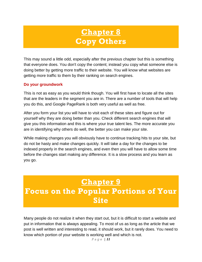### **Chapter 8 Copy Others**

<span id="page-11-1"></span><span id="page-11-0"></span>This may sound a little odd, especially after the previous chapter but this is something that everyone does. You don't copy the content; instead you copy what someone else is doing better by getting more traffic to their website. You will know what websites are getting more traffic to them by their ranking on search engines.

#### **Do your groundwork**

This is not as easy as you would think though. You will first have to locate all the sites that are the leaders in the segment you are in. There are a number of tools that will help you do this, and Google PageRank is both very useful as well as free.

After you form your list you will have to visit each of these sites and figure out for yourself why they are doing better than you. Check different search engines that will give you this information and this is where your true talent lies. The more accurate you are in identifying why others do well, the better you can make your site.

While making changes you will obviously have to continue tracking hits to your site, but do not be hasty and make changes quickly. It will take a day for the changes to be indexed properly in the search engines, and even then you will have to allow some time before the changes start making any difference. It is a slow process and you learn as you go.

### **Chapter 9**

### <span id="page-11-3"></span><span id="page-11-2"></span>**Focus on the Popular Portions of Your Site**

Many people do not realize it when they start out, but it is difficult to start a website and put in information that is always appealing. To most of us as long as the article that we post is well written and interesting to read, it should work, but it rarely does. You need to know which portion of your website is working well and which is not.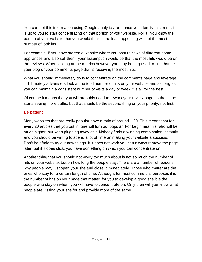You can get this information using Google analytics, and once you identify this trend, it is up to you to start concentrating on that portion of your website. For all you know the portion of your website that you would think is the least appealing will get the most number of look ins.

For example, if you have started a website where you post reviews of different home appliances and also sell them, your assumption would be that the most hits would be on the reviews. When looking at the metrics however you may be surprised to find that it is your blog or your comments page that is receiving the most hits.

What you should immediately do is to concentrate on the comments page and leverage it. Ultimately advertisers look at the total number of hits on your website and as long as you can maintain a consistent number of visits a day or week it is all for the best.

Of course it means that you will probably need to rework your review page so that it too starts seeing more traffic, but that should be the second thing on your priority, not first.

#### **Be patient**

Many websites that are really popular have a ratio of around 1:20. This means that for every 20 articles that you put in, one will turn out popular. For beginners this ratio will be much higher, but keep plugging away at it. Nobody finds a winning combination instantly and you should be willing to spend a lot of time on making your website a success. Don't be afraid to try out new things. If it does not work you can always remove the page later, but if it does click, you have something on which you can concentrate on.

Another thing that you should not worry too much about is not so much the number of hits on your website, but on how long the people stay. There are a number of reasons why people may just open your site and close it immediately. Those who matter are the ones who stay for a certain length of time. Although, for most commercial purposes it is the number of hits on your page that matter, for you to develop a good site it is the people who stay on whom you will have to concentrate on. Only then will you know what people are visiting your site for and provide more of the same.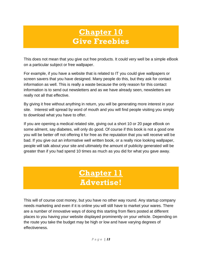### **Chapter 10 Give Freebies**

<span id="page-13-1"></span><span id="page-13-0"></span>This does not mean that you give out free products. It could very well be a simple eBook on a particular subject or free wallpaper.

For example, if you have a website that is related to IT you could give wallpapers or screen savers that you have designed. Many people do this, but they ask for contact information as well. This is really a waste because the only reason for this contact information is to send out newsletters and as we have already seen, newsletters are really not all that effective.

By giving it free without anything in return, you will be generating more interest in your site. Interest will spread by word of mouth and you will find people visiting you simply to download what you have to offer.

If you are opening a medical related site, giving out a short 10 or 20 page eBook on some ailment, say diabetes, will only do good. Of course if this book is not a good one you will be better off not offering it for free as the reputation that you will receive will be bad. If you give out an informative well written book, or a really nice looking wallpaper, people will talk about your site and ultimately the amount of publicity generated will be greater than if you had spend 10 times as much as you did for what you gave away.

### **Chapter 11 Advertise!**

<span id="page-13-3"></span><span id="page-13-2"></span>This will of course cost money, but you have no other way round. Any startup company needs marketing and even if it is online you will still have to market your wares. There are a number of innovative ways of doing this starting from fliers posted at different places to you having your website displayed prominently on your vehicle. Depending on the route you take the budget may be high or low and have varying degrees of effectiveness.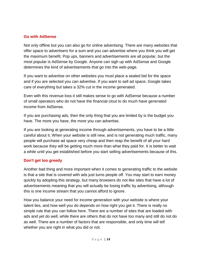#### **Go with AdSense**

Not only offline but you can also go for online advertising. There are many websites that offer space to advertisers for a sum and you can advertise where you think you will get the maximum benefit. Pop ups, banners and advertisements are all popular, but the most popular is AdSense by Google. Anyone can sigh up with AdSense and Google determines the kind of advertisements that go into the web-page.

If you want to advertise on other websites you must place a sealed bid for the space and if you are selected you can advertise. If you want to sell ad space, Google takes care of everything but takes a 32% cut in the income generated.

Even with this revenue loss it still makes sense to go with AdSense because a number of small operators who do not have the financial clout to do much have generated income from AdSense.

If you are purchasing ads, then the only thing that you are limited by is the budget you have. The more you have, the more you can advertise.

If you are looking at generating income through advertisements, you have to be a little careful about it. When your website is still new, and is not generating much traffic, many people will purchase ad space very cheap and then reap the benefit of all your hard work because they will be getting much more than what they paid for. It is better to wait a while until you get established before you start selling advertisements because of this.

### **Don't get too greedy**

Another bad thing and more important when it comes to generating traffic to the website is that a site that is covered with ads just turns people off. You may start to earn money quickly by adopting this strategy, but many browsers do not like sites that have a lot of advertisements meaning that you will actually be losing traffic by advertising, although this is one income stream that you cannot afford to ignore.

How you balance your need for income generation with your website is where your talent lies, and how well you do depends on how right you get it. There is really no simple rule that you can follow here. There are a number of sites that are loaded with ads and yet do well, while there are others that do not have too many and still do not do as well. There are a number of factors that are responsible, and only time will tell whether you are right in what you did or not.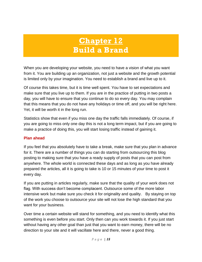### **Chapter 12 Build a Brand**

<span id="page-15-1"></span><span id="page-15-0"></span>When you are developing your website, you need to have a vision of what you want from it. You are building up an organization, not just a website and the growth potential is limited only by your imagination. You need to establish a brand and live up to it.

Of course this takes time, but it is time well spent. You have to set expectations and make sure that you live up to them. If you are in the practice of putting in two posts a day, you will have to ensure that you continue to do so every day. You may complain that this means that you do not have any holidays or time off, and you will be right here. Yet, it will be worth it in the long run.

Statistics show that even if you miss one day the traffic falls immediately. Of course, if you are going to miss only one day this is not a long term impact, but if you are going to make a practice of doing this, you will start losing traffic instead of gaining it.

#### **Plan ahead**

If you feel that you absolutely have to take a break, make sure that you plan in advance for it. There are a number of things you can do starting from outsourcing this blog posting to making sure that you have a ready supply of posts that you can post from anywhere. The whole world is connected these days and as long as you have already prepared the articles, all it is going to take is 10 or 15 minutes of your time to post it every day.

If you are putting in articles regularly, make sure that the quality of your work does not flag. With success don't become complacent. Outsource some of the more labor intensive work but make sure you check it for originality and quality. By staying on top of the work you choose to outsource your site will not lose the high standard that you want for your business.

Over time a certain website will stand for something, and you need to identify what this something is even before you start. Only then can you work towards it. If you just start without having any other goal than just that you want to earn money, there will be no direction to your site and it will vacillate here and there, never a good thing.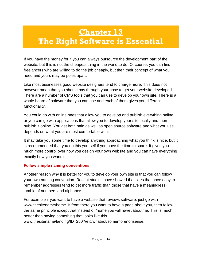### <span id="page-16-1"></span><span id="page-16-0"></span>**Chapter 13 The Right Software is Essential**

If you have the money for it you can always outsource the development part of the website, but this is not the cheapest thing in the world to do. Of course, you can find freelancers who are willing to do the job cheaply, but then their concept of what you need and yours may be poles apart.

Like most businesses good website designers tend to charge more. This does not however mean that you should pay through your nose to get your website developed. There are a number of CMS tools that you can use to develop your own site. There is a whole hoard of software that you can use and each of them gives you different functionality.

You could go with online ones that allow you to develop and publish everything online, or you can go with applications that allow you to develop your site locally and then publish it online. You get both paid as well as open source software and what you use depends on what you are most comfortable with.

It may take you some time to develop anything approaching what you think is nice, but it is recommended that you do this yourself if you have the time to spare. It gives you much more control over how you design your own website and you can have everything exactly how you want it.

### **Follow simple naming conventions**

Another reason why it is better for you to develop your own site is that you can follow your own naming convention. Recent studies have showed that sites that have easy to remember addresses tend to get more traffic than those that have a meaningless jumble of numbers and alphabets.

For example if you want to have a website that reviews software, just go with www.thesitename/home. If from there you want to have a page about you, then follow the same principle except that instead of /home you will have /aboutme. This is much better than having something that looks like this www.thesitename/landing/ID=250?/etc/whatnot/somemorenonsense.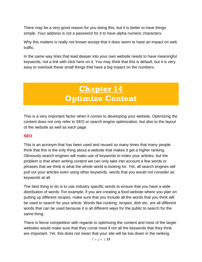There may be a very good reason for you doing this, but it is better to have things simple. Your address is not a password for it to have alpha numeric characters.

Why this matters is really not known except that it does seem to have an impact on web traffic.

<span id="page-17-0"></span>In the same way links that lead deeper into your own website needs to have meaningful keywords, not a link with click here on it. You may think that this is default, but it is very easy to overlook these small things that have a big impact on the numbers.

### **Chapter 14 Optimize Content**

<span id="page-17-1"></span>This is a very important factor when it comes to developing your website. Optimizing the content does not only refer to SEO or search engine optimization, but also to the layout of the website as well as each page.

### **SEO**

This is an acronym that has been used and reused so many times that many people think that this is the only thing about a website that makes it get a higher ranking. Obviously search engines will make use of keywords to index your articles, but the problem is that when writing content we can only take into account a few words or phrases that we think is what the whole world is looking for. Yet, all search engines will pull out your articles even using other keywords, words that you would not consider as keywords at all.

The best thing to do is to use industry specific words to ensure that you have a wide distribution of words. For example, if you are creating a food website where you plan on putting up different recipes, make sure that you include all the words that you think will be used to search for your article. Words like cooking, recipes, dish etc. are all different words that can be used because it is all different ways for the public to search for the same thing.

There is fierce competition with regards to optimizing the content and most of the larger websites would make sure that they corral most if not all the keywords that they think are important. Yet, this does not mean that your site will be low down in the ranking.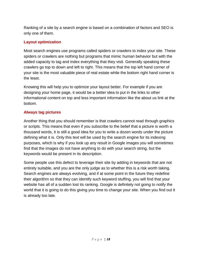Ranking of a site by a search engine is based on a combination of factors and SEO is only one of them.

#### **Layout optimization**

Most search engines use programs called spiders or crawlers to index your site. These spiders or crawlers are nothing but programs that mimic human behavior but with the added capacity to tag and index everything that they visit. Generally speaking these crawlers go top to down and left to right. This means that the top left hand corner of your site is the most valuable piece of real estate while the bottom right hand corner is the least.

Knowing this will help you to optimize your layout better. For example if you are designing your home page, it would be a better idea to put in the links to other informational content on top and less important information like the about us link at the bottom.

#### **Always tag pictures**

Another thing that you should remember is that crawlers cannot read through graphics or scripts. This means that even if you subscribe to the belief that a picture is worth a thousand words, it is still a good idea for you to write a dozen words under the picture defining what it is. Only this text will be used by the search engine for its indexing purposes, which is why if you look up any result in Google images you will sometimes find that the images do not have anything to do with your search string, but the keywords would be present in its description.

Some people use this defect to leverage their site by adding in keywords that are not entirely suitable, and you are the only judge as to whether this is a risk worth taking. Search engines are always evolving, and if at some point in the future they redefine their algorithm so that they can identify such keyword stuffing, you will find that your website has all of a sudden lost its ranking. Google is definitely not going to notify the world that it is going to do this giving you time to change your site. When you find out it is already too late.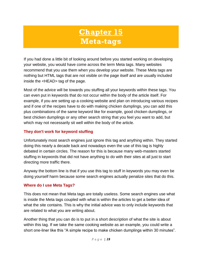## **Chapter 15 Meta-tags**

<span id="page-19-1"></span><span id="page-19-0"></span>If you had done a little bit of looking around before you started working on developing your website, you would have come across the term Meta tags. Many websites recommend that you use them when you develop your website. These Meta tags are nothing but HTML tags that are not visible on the page itself and are usually included inside the <HEAD> tag of the page.

Most of the advice will be towards you stuffing all your keywords within these tags. You can even put in keywords that do not occur within the body of the article itself. For example, if you are setting up a cooking website and plan on introducing various recipes and if one of the recipes have to do with making chicken dumplings, you can add this plus combinations of the same keyword like for example, good chicken dumplings, or best chicken dumplings or any other search string that you feel you want to add, but which may not necessarily sit well within the body of the article.

#### **They don't work for keyword stuffing**

Unfortunately most search engines just ignore this tag and anything within. They started doing this nearly a decade back and nowadays even the use of this tag is highly debated in certain circles. The reason for this is because many web-masters started stuffing in keywords that did not have anything to do with their sites at all just to start directing more traffic there.

Anyway the bottom line is that if you use this tag to stuff in keywords you may even be doing yourself harm because some search engines actually penalize sites that do this.

#### **Where do I use Meta Tags?**

This does not mean that Meta tags are totally useless. Some search engines use what is inside the Meta tags coupled with what is within the articles to get a better idea of what the site contains. This is why the initial advice was to only include keywords that are related to what you are writing about.

Another thing that you can do is to put in a short description of what the site is about within this tag. If we take the same cooking website as an example, you could write a short one-liner like this "A simple recipe to make chicken dumplings within 30 minutes".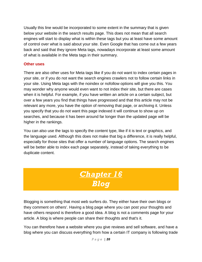Usually this line would be incorporated to some extent in the summary that is given below your website in the search results page. This does not mean that all search engines will start to display what is within these tags but you at least have some amount of control over what is said about your site. Even Google that has come out a few years back and said that they ignore Meta tags, nowadays incorporate at least some amount of what is available in the Meta tags in their summary.

#### **Other uses**

There are also other uses for Meta tags like if you do not want to index certain pages in your site, or if you do not want the search engines crawlers not to follow certain links in your site. Using Meta tags with the noindex or nofollow options will give you this. You may wonder why anyone would even want to not index their site, but there are cases when it is helpful. For example, if you have written an article on a certain subject, but over a few years you find that things have progressed and that this article may not be relevant any more, you have the option of removing that page, or archiving it. Unless you specify that you do not want this page indexed it will continue to show up on searches, and because it has been around far longer than the updated page will be higher in the rankings.

You can also use the tags to specify the content type, like if it is text or graphics, and the language used. Although this does not make that big a difference, it is really helpful, especially for those sites that offer a number of language options. The search engines will be better able to index each page separately, instead of taking everything to be duplicate content.

### *Chapter 16 Blog*

<span id="page-20-1"></span><span id="page-20-0"></span>Blogging is something that most web surfers do. They either have their own blogs or they comment on others'. Having a blog page where you can post your thoughts and have others respond is therefore a good idea. A blog is not a comments page for your article. A blog is where people can share their thoughts and that's it.

You can therefore have a website where you give reviews and sell software, and have a blog where you can discuss everything from how a certain IT company is following trade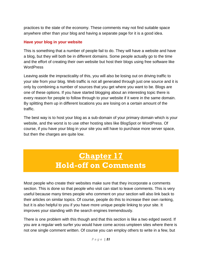practices to the state of the economy. These comments may not find suitable space anywhere other than your blog and having a separate page for it is a good idea.

#### **Have your blog in your website**

This is something that a number of people fail to do. They will have a website and have a blog, but they will both be in different domains. Some people actually go to the time and the effort of creating their own website but host their blogs using free software like **WordPress** 

Leaving aside the impracticality of this, you will also be losing out on driving traffic to your site from your blog. Web traffic is not all generated through just one source and it is only by combining a number of sources that you get where you want to be. Blogs are one of these options. If you have started blogging about an interesting topic there is every reason for people to follow through to your website if it were in the same domain. By splitting them up in different locations you are losing on a certain amount of the traffic.

The best way is to host your blog as a sub-domain of your primary domain which is your website, and the worst is to use other hosting sites like BlogSpot or WordPress. Of course, if you have your blog in your site you will have to purchase more server space, but then the charges are quite low.

### **Chapter 17 Hold-off on Comments**

<span id="page-21-1"></span><span id="page-21-0"></span>Most people who create their websites make sure that they incorporate a comments section. This is done so that people who visit can start to leave comments. This is very useful because many times people who comment on your section will also link back to their articles on similar topics. Of course, people do this to increase their own ranking, but it is also helpful to you if you have more unique people linking to your site. It improves your standing with the search engines tremendously.

There is one problem with this though and that this section is like a two edged sword. If you are a regular web surfer you would have come across umpteen sites where there is not one single comment written. Of course you can employ others to write in a few, but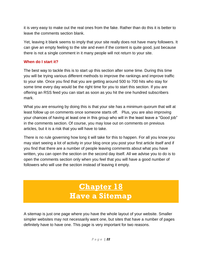it is very easy to make out the real ones from the fake. Rather than do this it is better to leave the comments section blank.

Yet, leaving it blank seems to imply that your site really does not have many followers. It can give an empty feeling to the site and even if the content is quite good, just because there is not a single comment in it many people will not return to your site.

#### **When do I start it?**

The best way to tackle this is to start up this section after some time. During this time you will be trying various different methods to improve the rankings and improve traffic to your site. Once you find that you are getting around 500 to 700 hits who stay for some time every day would be the right time for you to start this section. If you are offering an RSS feed you can start as soon as you hit the one hundred subscribers mark.

What you are ensuring by doing this is that your site has a minimum quorum that will at least follow up on comments once someone starts off. Plus, you are also improving your chances of having at least one in this group who will in the least leave a "Good job" in the comments section. Of course, you may lose out on comments on previous articles, but it is a risk that you will have to take.

There is no rule governing how long it will take for this to happen. For all you know you may start seeing a lot of activity in your blog once you post your first article itself and if you find that there are a number of people leaving comments about what you have written, you can open the section on the second day itself. All we advise you to do is to open the comments section only when you feel that you will have a good number of followers who will use the section instead of leaving it empty.

### **Chapter 18 Have a Sitemap**

<span id="page-22-1"></span><span id="page-22-0"></span>A sitemap is just one page where you have the whole layout of your website. Smaller simpler websites may not necessarily want one, but sites that have a number of pages definitely have to have one. This page is very important for two reasons.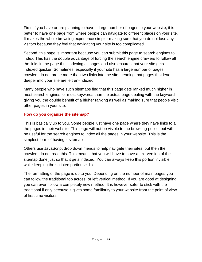First, if you have or are planning to have a large number of pages to your website, it is better to have one page from where people can navigate to different places on your site. It makes the whole browsing experience simpler making sure that you do not lose any visitors because they feel that navigating your site is too complicated.

Second, this page is important because you can submit this page to search engines to index. This has the double advantage of forcing the search engine crawlers to follow all the links in the page thus indexing all pages and also ensures that your site gets indexed quicker. Sometimes, especially if your site has a large number of pages crawlers do not probe more than two links into the site meaning that pages that lead deeper into your site are left un-indexed.

Many people who have such sitemaps find that this page gets ranked much higher in most search engines for most keywords than the actual page dealing with the keyword giving you the double benefit of a higher ranking as well as making sure that people visit other pages in your site.

### **How do you organize the sitemap?**

This is basically up to you. Some people just have one page where they have links to all the pages in their website. This page will not be visible to the browsing public, but will be useful for the search engines to index all the pages in your website. This is the simplest form of having a sitemap

Others use JavaScript drop down menus to help navigate their sites, but then the crawlers do not read this. This means that you will have to have a text version of the sitemap done just so that it gets indexed. You can always keep this portion invisible while keeping the scripted portion visible.

The formatting of the page is up to you. Depending on the number of main pages you can follow the traditional top across, or left vertical method. If you are good at designing you can even follow a completely new method. It is however safer to stick with the traditional if only because it gives some familiarity to your website from the point of view of first time visitors.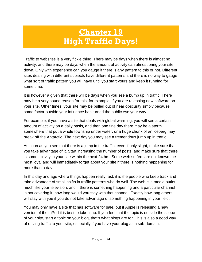## **Chapter 19 High Traffic Days!**

<span id="page-24-1"></span><span id="page-24-0"></span>Traffic to websites is a very fickle thing. There may be days when there is almost no activity, and there may be days when the amount of activity can almost bring your site down. Only with experience can you gauge if there is any pattern to this or not. Different sites dealing with different subjects have different patterns and there is no way to gauge what sort of traffic pattern you will have until you start yours and keep it running for some time.

It is however a given that there will be days when you see a bump up in traffic. There may be a very sound reason for this, for example, if you are releasing new software on your site. Other times, your site may be pulled out of near obscurity simply because some factor outside your influence has turned the public eye your way.

For example, if you have a site that deals with global warming, you will see a certain amount of activity on a daily basis, and then one fine day there may be a storm somewhere that put a whole township under water, or a huge chunk of an iceberg may break off the Antarctic. The next day you may see a tremendous jump up in traffic.

As soon as you see that there is a jump in the traffic, even if only slight, make sure that you take advantage of it. Start increasing the number of posts, and make sure that there is some activity in your site within the next 24 hrs. Some web surfers are not known the most loyal and will immediately forget about your site if there is nothing happening for more than a day.

In this day and age where things happen really fast, it is the people who keep track and take advantage of small shifts in traffic patterns who do well. The web is a media outlet much like your television, and if there is something happening and a particular channel is not covering it, how long would you stay with that channel. Exactly how long others will stay with you if you do not take advantage of something happening in your field.

You may only have a site that has software for sale, but if Apple is releasing a new version of their iPod it is best to take it up. If you feel that the topic is outside the scope of your site, start a topic on your blog, that's what blogs are for. This is also a good way of driving traffic to your site, especially if you have your blog as a sub-domain.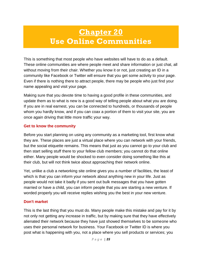### <span id="page-25-0"></span>**Chapter 20 Use Online Communities**

<span id="page-25-1"></span>This is something that most people who have websites will have to do as a default. These online communities are where people meet and share information or just chat, all without moving from their chair. Whether you know it or not, just creating an ID in a community like Facebook or Twitter will ensure that you get some activity to your page. Even if there is nothing there to attract people, there may be people who just find your name appealing and visit your page.

Making sure that you devote time to having a good profile in these communities, and update them as to what is new is a good way of telling people about what you are doing. If you are in real earnest, you can be connected to hundreds, or thousands of people whom you hardly know, and if you can coax a portion of them to visit your site, you are once again driving that little more traffic your way.

#### **Get to know the community**

Before you start planning on using any community as a marketing tool, first know what they are. These places are just a virtual place where you can network with your friends, but the social etiquette remains. This means that just as you cannot go to your club and then start selling stuff there to your fellow club members; you cannot do that online either. Many people would be shocked to even consider doing something like this at their club, but will not think twice about approaching their network online.

Yet, unlike a club a networking site online gives you a number of facilities, the least of which is that you can inform your network about anything new in your life. Just as people would not take it badly if you sent out bulk messages that you have gotten married or have a child, you can inform people that you are starting a new venture. If worded properly you will receive replies wishing you the best in your new venture.

#### **Don't market**

This is the last thing that you must do. Many people make this mistake and pay for it by not only not getting any increase in traffic, but by making sure that they have effectively alienated their network because they have just showed themselves to be someone who uses their personal network for business. Your Facebook or Twitter ID is where you post what is happening with you, not a place where you sell products or services; you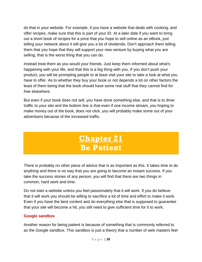do that in your website. For example, if you have a website that deals with cooking, and offer recipes, make sure that this is part of your ID. At a later date if you want to bring out a short book of recipes for a price that you hope to sell online as an eBook, just telling your network about it will give you a lot of dividends. Don't approach them telling them that you hope that they will support your new venture by buying what you are selling, that is the worst thing that you can do.

Instead treat them as you would your friends. Just keep them informed about what's happening with your life, and that this is a big thing with you. If you don't push your product, you will be prompting people to at least visit your site to take a look at what you have to offer. As to whether they buy your book or not depends a lot on other factors the least of them being that the book should have some real stuff that they cannot find for free elsewhere.

But even if your book does not sell, you have done something else, and that is to drive traffic to your site and the bottom line is that even if one income stream, you hoping to make money out of the book, does not click, you will probably make some out of your advertisers because of the increased traffic.

### **Chapter 21 Be Patient**

<span id="page-26-1"></span><span id="page-26-0"></span>There is probably no other piece of advice that is as important as this. It takes time to do anything and there is no way that you are going to become an instant success. If you take the success stories of any person, you will find that there are two things in common, hard work and time.

Do not start a website unless you feel passionately that it will work. If you do believe that it will work you should be willing to sacrifice a lot of time and effort to make it work. Even if you have the best content and do everything else that is supposed to guarantee that your site will become a hit, you still need to give sufficient time for it to work.

#### **Google sandbox**

Another reason for being patient is because of something that is commonly referred to as the Google sandbox. This sandbox is just a theory that a number of web masters feel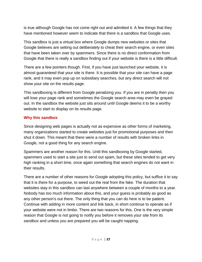is true although Google has not come right out and admitted it. A few things that they have mentioned however seem to indicate that there is a sandbox that Google uses.

This sandbox is just a virtual box where Google dumps new websites or sites that Google believes are setting out deliberately to cheat their search engine, or even sites that have been taken over by spammers. Since there is no direct conformation from Google that there is really a sandbox finding out if your website is there is a little difficult.

There are a few pointers though. First, if you have just launched your website, it is almost guaranteed that your site is there. It is possible that your site can have a page rank, and it may even pop up on subsidiary searches, but any direct search will not show your site on the results page.

This sandboxing is different from Google penalizing you. If you are in penalty then you will lose your page rank and sometimes the Google search area may even be grayed out. In the sandbox the website just sits around until Google deems it to be a worthy website to start to display on its results page.

#### **Why this sandbox**

Since designing web pages is actually not as expensive as other forms of marketing, many organizations started to create websites just for promotional purposes and then shut it down. This meant that there were a number of results with broken links in Google, not a good thing for any search engine.

Spammers are another reason for this. Until this sandboxing by Google started, spammers used to start a site just to send out spam, but these sites tended to get very high ranking in a short time, once again something that search engines do not want in their results.

There are a number of other reasons for Google adopting this policy, but suffice it to say that it is there for a purpose, to weed out the real from the fake. The duration that websites stay in this sandbox can last anywhere between a couple of months to a year. Nobody has too much information about this, and your guess is probably as good as any other person's out there. The only thing that you can do here is to be patient. Continue with adding in more content and link back, in short continue to operate as if your website were not in limbo. There are two reasons for this. One is the very simple reason that Google is not going to notify you before it removes your site from its sandbox and unless you are prepared you will be caught napping.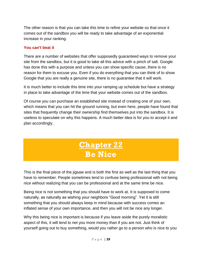The other reason is that you can take this time to refine your website so that once it comes out of the sandbox you will be ready to take advantage of an exponential increase in your ranking.

#### **You can't beat it**

There are a number of websites that offer supposedly guaranteed ways to remove your site from the sandbox, but it is good to take all this advice with a pinch of salt. Google has done this with a purpose and unless you can show specific cause, there is no reason for them to excuse you. Even if you do everything that you can think of to show Google that you are really a genuine site, there is no guarantee that it will work.

It is much better to include this time into your ramping up schedule but have a strategy in place to take advantage of the time that your website comes out of the sandbox.

Of course you can purchase an established site instead of creating one of your own, which means that you can hit the ground running, but even here, people have found that sites that frequently change their ownership find themselves put into the sandbox. It is useless to speculate on why this happens. A much better idea is for you to accept it and plan accordingly.

### **Chapter 22 Be Nice**

<span id="page-28-1"></span><span id="page-28-0"></span>This is the final piece of the jigsaw and is both the first as well as the last thing that you have to remember. People sometimes tend to confuse being professional with not being nice without realizing that you can be professional and at the same time be nice.

Being nice is not something that you should have to work at. It is supposed to come naturally, as naturally as wishing your neighbors "Good morning". Yet it is still something that you should always keep in mind because with success comes an inflated sense of your own importance, and then you will not be nice any longer.

Why this being nice is important is because if you leave aside the purely moralistic aspect of this, it will tend to net you more money than if you are not. Just think of yourself going out to buy something, would you rather go to a person who is nice to you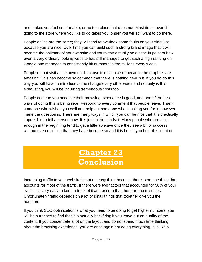and makes you feel comfortable, or go to a place that does not. Most times even if going to the store where you like to go takes you longer you will still want to go there.

People online are the same; they will tend to overlook some faults on your side just because you are nice. Over time you can build such a strong brand image that it will become the hallmark of your website and yours can actually be a case in point of how even a very ordinary looking website has still managed to get such a high ranking on Google and manages to consistently hit numbers in the millions every week.

People do not visit a site anymore because it looks nice or because the graphics are amazing. This has become so common that there is nothing new in it. If you do go this way you will have to introduce some change every other week and not only is this exhausting, you will be incurring tremendous costs too.

People come to you because their browsing experience is good, and one of the best ways of doing this is being nice. Respond to every comment that people leave. Thank someone who wishes you well and help out someone who is asking you for it, however inane the question is. There are many ways in which you can be nice that it is practically impossible to tell a person how. It is just in the mindset. Many people who are nice enough in the beginning tend to get a little abrasive once they see a bit of success without even realizing that they have become so and it is best if you bear this in mind.

### **Chapter 23 Conclusion**

<span id="page-29-1"></span><span id="page-29-0"></span>Increasing traffic to your website is not an easy thing because there is no one thing that accounts for most of the traffic. If there were two factors that accounted for 50% of your traffic it is very easy to keep a track of it and ensure that there are no mistakes. Unfortunately traffic depends on a lot of small things that together give you the numbers.

If you think SEO optimization is what you need to be doing to get higher numbers, you will be surprised to find that it is actually backfiring if you leave out on quality of the content. If you concentrate a lot on the layout and do not spend much time thinking about the browsing experience, you are once again not doing everything. It is like a